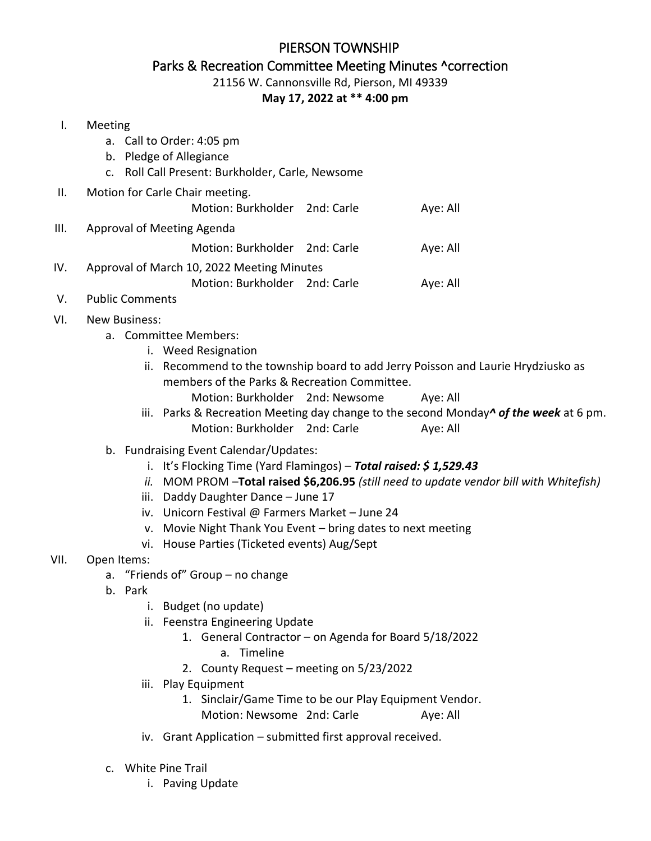## PIERSON TOWNSHIP Parks & Recreation Committee Meeting Minutes ^correction 21156 W. Cannonsville Rd, Pierson, MI 49339

## **May 17, 2022 at \*\* 4:00 pm**

## I. Meeting

- a. Call to Order: 4:05 pm
- b. Pledge of Allegiance
- c. Roll Call Present: Burkholder, Carle, Newsome
- II. Motion for Carle Chair meeting. Motion: Burkholder 2nd: Carle Aye: All III. Approval of Meeting Agenda
	- Motion: Burkholder 2nd: Carle Aye: All
- IV. Approval of March 10, 2022 Meeting Minutes
	- Motion: Burkholder 2nd: Carle Aye: All
- V. Public Comments
- VI. New Business:
	- a. Committee Members:
		- i. Weed Resignation
		- ii. Recommend to the township board to add Jerry Poisson and Laurie Hrydziusko as members of the Parks & Recreation Committee. Motion: Burkholder 2nd: Newsome Aye: All
		- iii. Parks & Recreation Meeting day change to the second Monday*^ of the week* at 6 pm. Motion: Burkholder 2nd: Carle Aye: All
	- b. Fundraising Event Calendar/Updates:
		- i. It's Flocking Time (Yard Flamingos) *Total raised: \$ 1,529.43*
		- *ii.* MOM PROM –**Total raised \$6,206.95** *(still need to update vendor bill with Whitefish)*
		- iii. Daddy Daughter Dance June 17
		- iv. Unicorn Festival @ Farmers Market June 24
		- v. Movie Night Thank You Event bring dates to next meeting
		- vi. House Parties (Ticketed events) Aug/Sept
- VII. Open Items:
	- a. "Friends of" Group no change
	- b. Park
		- i. Budget (no update)
		- ii. Feenstra Engineering Update
			- 1. General Contractor on Agenda for Board 5/18/2022
				- a. Timeline
			- 2. County Request meeting on 5/23/2022
		- iii. Play Equipment
			- 1. Sinclair/Game Time to be our Play Equipment Vendor. Motion: Newsome 2nd: Carle Aye: All
		- iv. Grant Application submitted first approval received.
	- c. White Pine Trail
		- i. Paving Update